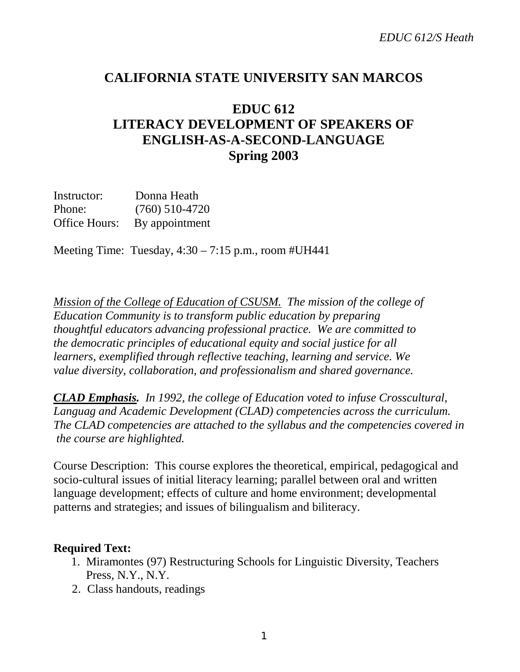## **CALIFORNIA STATE UNIVERSITY SAN MARCOS**

# **EDUC 612 LITERACY DEVELOPMENT OF SPEAKERS OF ENGLISH-AS-A-SECOND-LANGUAGE Spring 2003**

Instructor: Donna Heath Phone: (760) 510-4720 Office Hours: By appointment

Meeting Time: Tuesday, 4:30 – 7:15 p.m., room #UH441

*Mission of the College of Education of CSUSM. The mission of the college of Education Community is to transform public education by preparing thoughtful educators advancing professional practice. We are committed to the democratic principles of educational equity and social justice for all learners, exemplified through reflective teaching, learning and service. We value diversity, collaboration, and professionalism and shared governance.*

*CLAD Emphasis. In 1992, the college of Education voted to infuse Crosscultural, Languag and Academic Development (CLAD) competencies across the curriculum. The CLAD competencies are attached to the syllabus and the competencies covered in the course are highlighted.*

Course Description: This course explores the theoretical, empirical, pedagogical and socio-cultural issues of initial literacy learning; parallel between oral and written language development; effects of culture and home environment; developmental patterns and strategies; and issues of bilingualism and biliteracy.

### **Required Text:**

- 1.Miramontes (97) Restructuring Schools for Linguistic Diversity, Teachers Press, N.Y., N.Y.
- 2. Class handouts, readings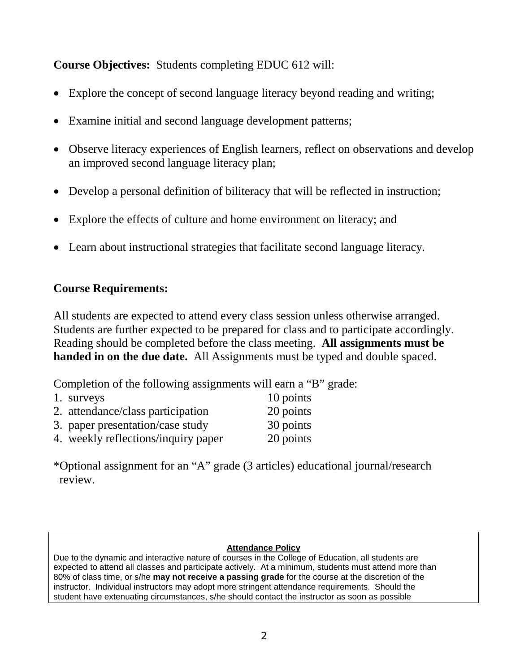### **Course Objectives:** Students completing EDUC 612 will:

- Explore the concept of second language literacy beyond reading and writing;
- Examine initial and second language development patterns;
- Observe literacy experiences of English learners, reflect on observations and develop an improved second language literacy plan;
- Develop a personal definition of biliteracy that will be reflected in instruction;
- Explore the effects of culture and home environment on literacy; and
- Learn about instructional strategies that facilitate second language literacy.

### **Course Requirements:**

All students are expected to attend every class session unless otherwise arranged. Students are further expected to be prepared for class and to participate accordingly. Reading should be completed before the class meeting. **All assignments must be handed in on the due date.** All Assignments must be typed and double spaced.

Completion of the following assignments will earn a "B" grade:

| 1. surveys                          | 10 points |
|-------------------------------------|-----------|
| 2. attendance/class participation   | 20 points |
| 3. paper presentation/case study    | 30 points |
| 4. weekly reflections/inquiry paper | 20 points |

\*Optional assignment for an "A" grade (3 articles) educational journal/research review.

#### **Attendance Policy**

Due to the dynamic and interactive nature of courses in the College of Education, all students are expected to attend all classes and participate actively. At a minimum, students must attend more than 80% of class time, or s/he **may not receive a passing grade** for the course at the discretion of the instructor. Individual instructors may adopt more stringent attendance requirements. Should the student have extenuating circumstances, s/he should contact the instructor as soon as possible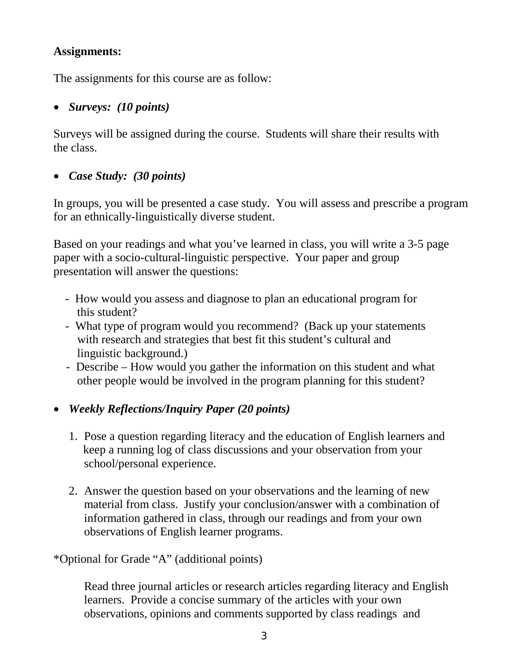### **Assignments:**

The assignments for this course are as follow:

### • *Surveys: (10 points)*

Surveys will be assigned during the course. Students will share their results with the class.

## • *Case Study: (30 points)*

In groups, you will be presented a case study. You will assess and prescribe a program for an ethnically-linguistically diverse student.

Based on your readings and what you've learned in class, you will write a 3-5 page paper with a socio-cultural-linguistic perspective. Your paper and group presentation will answer the questions:

- How would you assess and diagnose to plan an educational program for this student?
- What type of program would you recommend? (Back up your statements with research and strategies that best fit this student's cultural and linguistic background.)
- Describe How would you gather the information on this student and what other people would be involved in the program planning for this student?

## • *Weekly Reflections/Inquiry Paper (20 points)*

- 1. Pose a question regarding literacy and the education of English learners and keep a running log of class discussions and your observation from your school/personal experience.
- 2. Answer the question based on your observations and the learning of new material from class. Justify your conclusion/answer with a combination of information gathered in class, through our readings and from your own observations of English learner programs.

\*Optional for Grade "A" (additional points)

Read three journal articles or research articles regarding literacy and English learners. Provide a concise summary of the articles with your own observations, opinions and comments supported by class readings and